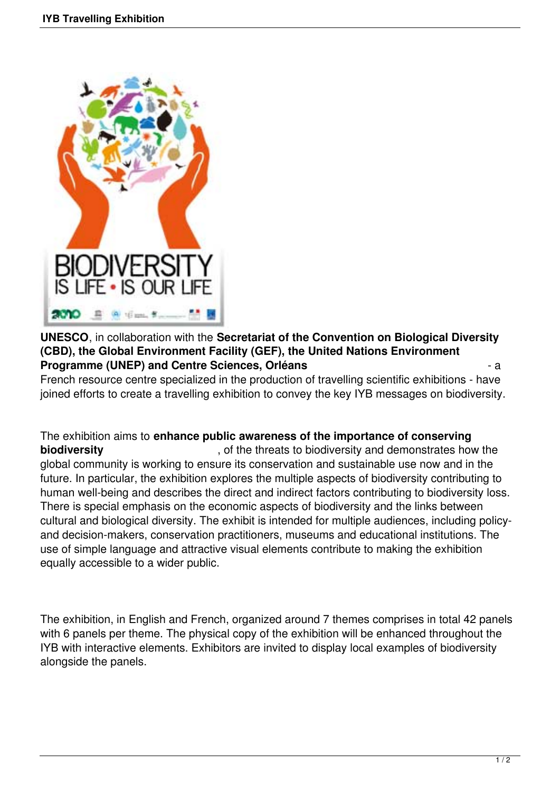

**UNESCO**, in collaboration with the **Secretariat of the Convention on Biological Diversity (CBD), the Global Environment Facility (GEF), the United Nations Environment Programme (UNEP) and Centre Sciences, Orléans** - a

French resource centre specialized in the production of travelling scientific exhibitions - have joined efforts to create a travelling exhibition to convey the key IYB messages on biodiversity.

The exhibition aims to **enhance public awareness of the importance of conserving biodiversity biodiversity biodiversity has a structure of the threats to biodiversity and demonstrates how the** global community is working to ensure its conservation and sustainable use now and in the future. In particular, the exhibition explores the multiple aspects of biodiversity contributing to human well-being and describes the direct and indirect factors contributing to biodiversity loss. There is special emphasis on the economic aspects of biodiversity and the links between cultural and biological diversity. The exhibit is intended for multiple audiences, including policyand decision-makers, conservation practitioners, museums and educational institutions. The use of simple language and attractive visual elements contribute to making the exhibition equally accessible to a wider public.

The exhibition, in English and French, organized around 7 themes comprises in total 42 panels with 6 panels per theme. The physical copy of the exhibition will be enhanced throughout the IYB with interactive elements. Exhibitors are invited to display local examples of biodiversity alongside the panels.